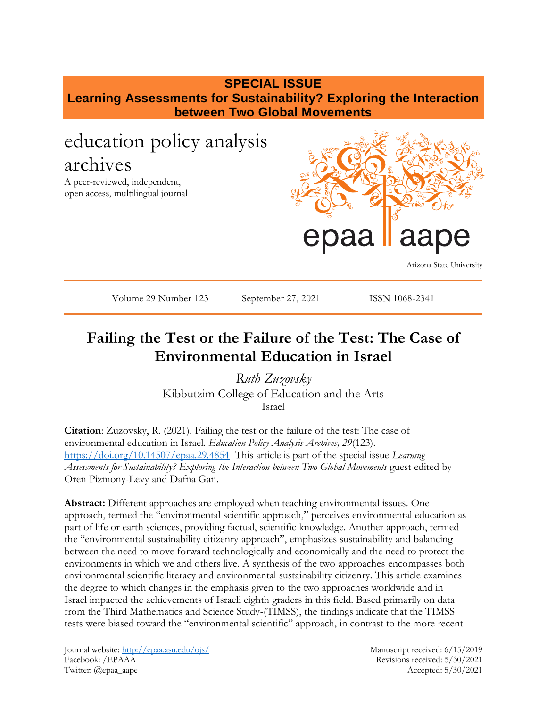# **SPECIAL ISSUE Learning Assessments for Sustainability? Exploring the Interaction between Two Global Movements**

# education policy analysis archives

A peer-reviewed, independent, open access, multilingual journal



Arizona State University

Volume 29 Number 123 September 27, 2021 ISSN 1068-2341

# **Failing the Test or the Failure of the Test: The Case of Environmental Education in Israel**

*Ruth Zuzovsky*  Kibbutzim College of Education and the Arts Israel

**Citation**: Zuzovsky, R. (2021). Failing the test or the failure of the test: The case of environmental education in Israel. *Education Policy Analysis Archives, 29*(123). <https://doi.org/10.14507/epaa.29.4854>This article is part of the special issue *Learning Assessments for Sustainability? Exploring the Interaction between Two Global Movements* guest edited by Oren Pizmony-Levy and Dafna Gan.

**Abstract:** Different approaches are employed when teaching environmental issues. One approach, termed the "environmental scientific approach," perceives environmental education as part of life or earth sciences, providing factual, scientific knowledge. Another approach, termed the "environmental sustainability citizenry approach", emphasizes sustainability and balancing between the need to move forward technologically and economically and the need to protect the environments in which we and others live. A synthesis of the two approaches encompasses both environmental scientific literacy and environmental sustainability citizenry. This article examines the degree to which changes in the emphasis given to the two approaches worldwide and in Israel impacted the achievements of Israeli eighth graders in this field. Based primarily on data from the Third Mathematics and Science Study-(TIMSS), the findings indicate that the TIMSS tests were biased toward the "environmental scientific" approach, in contrast to the more recent

Journal website:<http://epaa.asu.edu/ojs/> Manuscript received: 6/15/2019 Facebook: /EPAAA Revisions received: 5/30/2021 Twitter: @epaa\_aape Accepted: 5/30/2021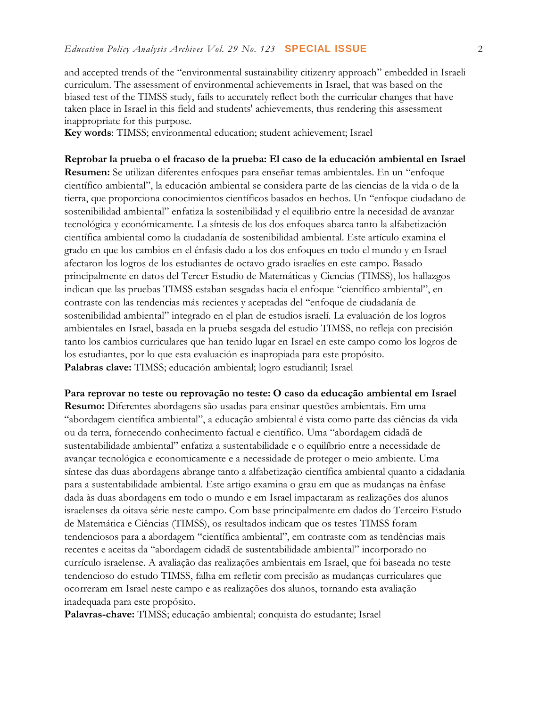and accepted trends of the "environmental sustainability citizenry approach" embedded in Israeli curriculum. The assessment of environmental achievements in Israel, that was based on the biased test of the TIMSS study, fails to accurately reflect both the curricular changes that have taken place in Israel in this field and students' achievements, thus rendering this assessment inappropriate for this purpose.

**Key words**: TIMSS; environmental education; student achievement; Israel

**Reprobar la prueba o el fracaso de la prueba: El caso de la educación ambiental en Israel Resumen:** Se utilizan diferentes enfoques para enseñar temas ambientales. En un "enfoque científico ambiental", la educación ambiental se considera parte de las ciencias de la vida o de la tierra, que proporciona conocimientos científicos basados en hechos. Un "enfoque ciudadano de sostenibilidad ambiental" enfatiza la sostenibilidad y el equilibrio entre la necesidad de avanzar tecnológica y económicamente. La síntesis de los dos enfoques abarca tanto la alfabetización científica ambiental como la ciudadanía de sostenibilidad ambiental. Este artículo examina el grado en que los cambios en el énfasis dado a los dos enfoques en todo el mundo y en Israel afectaron los logros de los estudiantes de octavo grado israelíes en este campo. Basado principalmente en datos del Tercer Estudio de Matemáticas y Ciencias (TIMSS), los hallazgos indican que las pruebas TIMSS estaban sesgadas hacia el enfoque "científico ambiental", en contraste con las tendencias más recientes y aceptadas del "enfoque de ciudadanía de sostenibilidad ambiental" integrado en el plan de estudios israelí. La evaluación de los logros ambientales en Israel, basada en la prueba sesgada del estudio TIMSS, no refleja con precisión tanto los cambios curriculares que han tenido lugar en Israel en este campo como los logros de los estudiantes, por lo que esta evaluación es inapropiada para este propósito. **Palabras clave:** TIMSS; educación ambiental; logro estudiantil; Israel

**Para reprovar no teste ou reprovação no teste: O caso da educação ambiental em Israel Resumo:** Diferentes abordagens são usadas para ensinar questões ambientais. Em uma "abordagem científica ambiental", a educação ambiental é vista como parte das ciências da vida ou da terra, fornecendo conhecimento factual e científico. Uma "abordagem cidadã de sustentabilidade ambiental" enfatiza a sustentabilidade e o equilíbrio entre a necessidade de avançar tecnológica e economicamente e a necessidade de proteger o meio ambiente. Uma síntese das duas abordagens abrange tanto a alfabetização científica ambiental quanto a cidadania para a sustentabilidade ambiental. Este artigo examina o grau em que as mudanças na ênfase dada às duas abordagens em todo o mundo e em Israel impactaram as realizações dos alunos israelenses da oitava série neste campo. Com base principalmente em dados do Terceiro Estudo de Matemática e Ciências (TIMSS), os resultados indicam que os testes TIMSS foram tendenciosos para a abordagem "científica ambiental", em contraste com as tendências mais recentes e aceitas da "abordagem cidadã de sustentabilidade ambiental" incorporado no currículo israelense. A avaliação das realizações ambientais em Israel, que foi baseada no teste tendencioso do estudo TIMSS, falha em refletir com precisão as mudanças curriculares que ocorreram em Israel neste campo e as realizações dos alunos, tornando esta avaliação inadequada para este propósito.

**Palavras-chave:** TIMSS; educação ambiental; conquista do estudante; Israel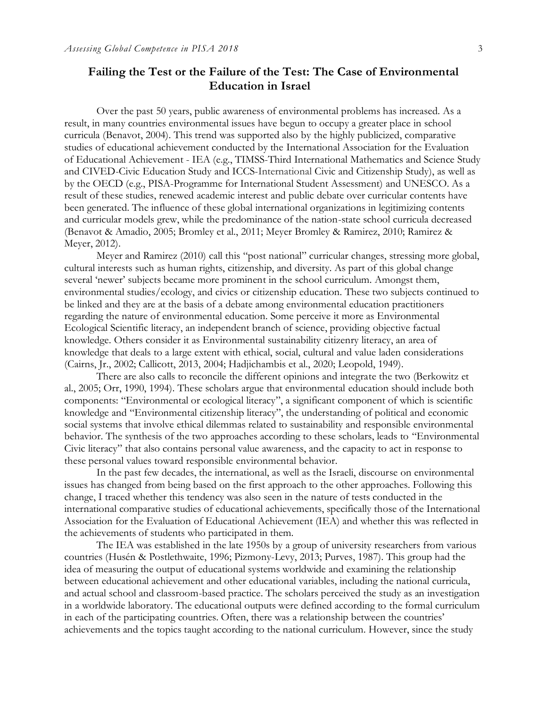# **Failing the Test or the Failure of the Test: The Case of Environmental Education in Israel**

Over the past 50 years, public awareness of environmental problems has increased. As a result, in many countries environmental issues have begun to occupy a greater place in school curricula (Benavot, 2004). This trend was supported also by the highly publicized, comparative studies of educational achievement conducted by the International Association for the Evaluation of Educational Achievement - IEA (e.g., TIMSS-Third International Mathematics and Science Study and CIVED-Civic Education Study and ICCS-International Civic and Citizenship Study), as well as by the OECD (e.g., PISA-Programme for International Student Assessment) and UNESCO. As a result of these studies, renewed academic interest and public debate over curricular contents have been generated. The influence of these global international organizations in legitimizing contents and curricular models grew, while the predominance of the nation-state school curricula decreased (Benavot & Amadio, 2005; Bromley et al., 2011; Meyer Bromley & Ramirez, 2010; Ramirez & Meyer, 2012).

Meyer and Ramirez (2010) call this "post national" curricular changes, stressing more global, cultural interests such as human rights, citizenship, and diversity. As part of this global change several 'newer' subjects became more prominent in the school curriculum. Amongst them, environmental studies/ecology, and civics or citizenship education. These two subjects continued to be linked and they are at the basis of a debate among environmental education practitioners regarding the nature of environmental education. Some perceive it more as Environmental Ecological Scientific literacy, an independent branch of science, providing objective factual knowledge. Others consider it as Environmental sustainability citizenry literacy, an area of knowledge that deals to a large extent with ethical, social, cultural and value laden considerations (Cairns, Jr., 2002; Callicott, 2013, 2004; Hadjichambis et al., 2020; Leopold, 1949).

There are also calls to reconcile the different opinions and integrate the two (Berkowitz et al., 2005; Orr, 1990, 1994). These scholars argue that environmental education should include both components: "Environmental or ecological literacy", a significant component of which is scientific knowledge and "Environmental citizenship literacy", the understanding of political and economic social systems that involve ethical dilemmas related to sustainability and responsible environmental behavior. The synthesis of the two approaches according to these scholars, leads to "Environmental Civic literacy" that also contains personal value awareness, and the capacity to act in response to these personal values toward responsible environmental behavior.

In the past few decades, the international, as well as the Israeli, discourse on environmental issues has changed from being based on the first approach to the other approaches. Following this change, I traced whether this tendency was also seen in the nature of tests conducted in the international comparative studies of educational achievements, specifically those of the International Association for the Evaluation of Educational Achievement (IEA) and whether this was reflected in the achievements of students who participated in them.

The IEA was established in the late 1950s by a group of university researchers from various countries (Husén & Postlethwaite, 1996; Pizmony-Levy, 2013; Purves, 1987). This group had the idea of measuring the output of educational systems worldwide and examining the relationship between educational achievement and other educational variables, including the national curricula, and actual school and classroom-based practice. The scholars perceived the study as an investigation in a worldwide laboratory. The educational outputs were defined according to the formal curriculum in each of the participating countries. Often, there was a relationship between the countries' achievements and the topics taught according to the national curriculum. However, since the study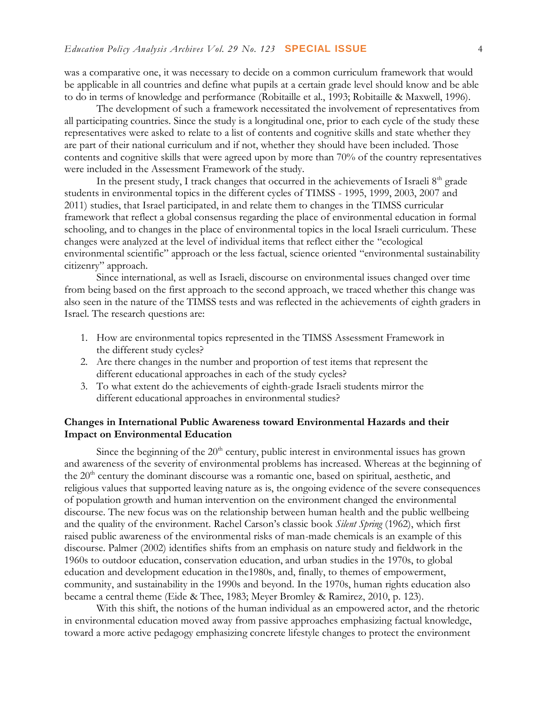was a comparative one, it was necessary to decide on a common curriculum framework that would be applicable in all countries and define what pupils at a certain grade level should know and be able to do in terms of knowledge and performance (Robitaille et al., 1993; Robitaille & Maxwell, 1996).

The development of such a framework necessitated the involvement of representatives from all participating countries. Since the study is a longitudinal one, prior to each cycle of the study these representatives were asked to relate to a list of contents and cognitive skills and state whether they are part of their national curriculum and if not, whether they should have been included. Those contents and cognitive skills that were agreed upon by more than 70% of the country representatives were included in the Assessment Framework of the study.

In the present study, I track changes that occurred in the achievements of Israeli  $8<sup>th</sup>$  grade students in environmental topics in the different cycles of TIMSS - 1995, 1999, 2003, 2007 and 2011) studies, that Israel participated, in and relate them to changes in the TIMSS curricular framework that reflect a global consensus regarding the place of environmental education in formal schooling, and to changes in the place of environmental topics in the local Israeli curriculum. These changes were analyzed at the level of individual items that reflect either the "ecological environmental scientific" approach or the less factual, science oriented "environmental sustainability citizenry" approach.

Since international, as well as Israeli, discourse on environmental issues changed over time from being based on the first approach to the second approach, we traced whether this change was also seen in the nature of the TIMSS tests and was reflected in the achievements of eighth graders in Israel. The research questions are:

- 1. How are environmental topics represented in the TIMSS Assessment Framework in the different study cycles?
- 2. Are there changes in the number and proportion of test items that represent the different educational approaches in each of the study cycles?
- 3. To what extent do the achievements of eighth-grade Israeli students mirror the different educational approaches in environmental studies?

# **Changes in International Public Awareness toward Environmental Hazards and their Impact on Environmental Education**

Since the beginning of the  $20<sup>th</sup>$  century, public interest in environmental issues has grown and awareness of the severity of environmental problems has increased. Whereas at the beginning of the 20<sup>th</sup> century the dominant discourse was a romantic one, based on spiritual, aesthetic, and religious values that supported leaving nature as is, the ongoing evidence of the severe consequences of population growth and human intervention on the environment changed the environmental discourse. The new focus was on the relationship between human health and the public wellbeing and the quality of the environment. Rachel Carson's classic book *Silent Spring* (1962), which first raised public awareness of the environmental risks of man-made chemicals is an example of this discourse. Palmer (2002) identifies shifts from an emphasis on nature study and fieldwork in the 1960s to outdoor education, conservation education, and urban studies in the 1970s, to global education and development education in the1980s, and, finally, to themes of empowerment, community, and sustainability in the 1990s and beyond. In the 1970s, human rights education also became a central theme (Eide & Thee, 1983; Meyer Bromley & Ramirez, 2010, p. 123).

With this shift, the notions of the human individual as an empowered actor, and the rhetoric in environmental education moved away from passive approaches emphasizing factual knowledge, toward a more active pedagogy emphasizing concrete lifestyle changes to protect the environment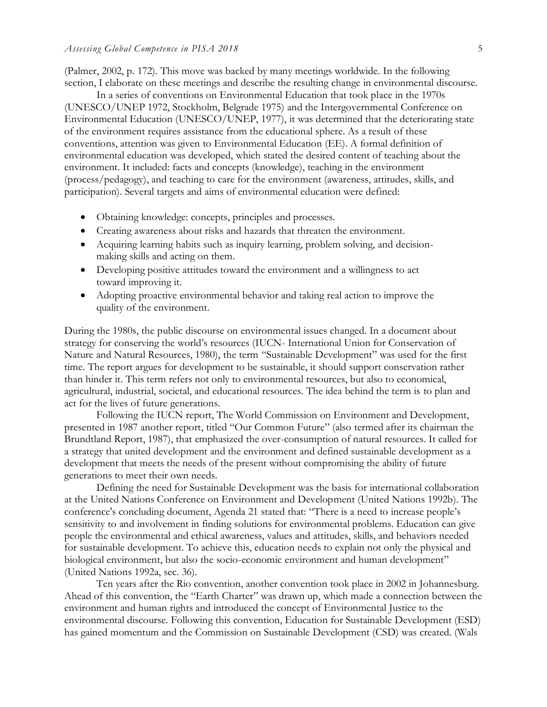(Palmer, 2002, p. 172). This move was backed by many meetings worldwide. In the following section, I elaborate on these meetings and describe the resulting change in environmental discourse.

In a series of conventions on Environmental Education that took place in the 1970s (UNESCO/UNEP 1972, Stockholm, Belgrade 1975) and the Intergovernmental Conference on Environmental Education (UNESCO/UNEP, 1977), it was determined that the deteriorating state of the environment requires assistance from the educational sphere. As a result of these conventions, attention was given to Environmental Education (EE). A formal definition of environmental education was developed, which stated the desired content of teaching about the environment. It included: facts and concepts (knowledge), teaching in the environment (process/pedagogy), and teaching to care for the environment (awareness, attitudes, skills, and participation). Several targets and aims of environmental education were defined:

- Obtaining knowledge: concepts, principles and processes.
- Creating awareness about risks and hazards that threaten the environment.
- Acquiring learning habits such as inquiry learning, problem solving, and decisionmaking skills and acting on them.
- Developing positive attitudes toward the environment and a willingness to act toward improving it.
- Adopting proactive environmental behavior and taking real action to improve the quality of the environment.

During the 1980s, the public discourse on environmental issues changed. In a document about strategy for conserving the world's resources (IUCN- International Union for Conservation of Nature and Natural Resources, 1980), the term "Sustainable Development" was used for the first time. The report argues for development to be sustainable, it should support conservation rather than hinder it. This term refers not only to environmental resources, but also to economical, agricultural, industrial, societal, and educational resources. The idea behind the term is to plan and act for the lives of future generations.

Following the IUCN report, The World Commission on Environment and Development, presented in 1987 another report, titled "Our Common Future" (also termed after its chairman the Brundtland Report, 1987), that emphasized the over-consumption of natural resources. It called for a strategy that united development and the environment and defined sustainable development as a development that meets the needs of the present without compromising the ability of future generations to meet their own needs.

Defining the need for Sustainable Development was the basis for international collaboration at the United Nations Conference on Environment and Development (United Nations [1992b\)](https://www.journals.uchicago.edu/doi/full/10.1086/661632#rf125). The conference's concluding document, Agenda 21 stated that: "There is a need to increase people's sensitivity to and involvement in finding solutions for environmental problems. Education can give people the environmental and ethical awareness, values and attitudes, skills, and behaviors needed for sustainable development. To achieve this, education needs to explain not only the physical and biological environment, but also the socio-economic environment and human development" (United Nations [1992a,](https://www.journals.uchicago.edu/doi/full/10.1086/661632#rf126) sec. 36).

Ten years after the Rio convention, another convention took place in 2002 in Johannesburg. Ahead of this convention, the "Earth Charter" was drawn up, which made a connection between the environment and human rights and introduced the concept of Environmental Justice to the environmental discourse. Following this convention, Education for Sustainable Development (ESD) has gained momentum and the Commission on Sustainable Development (CSD) was created. (Wals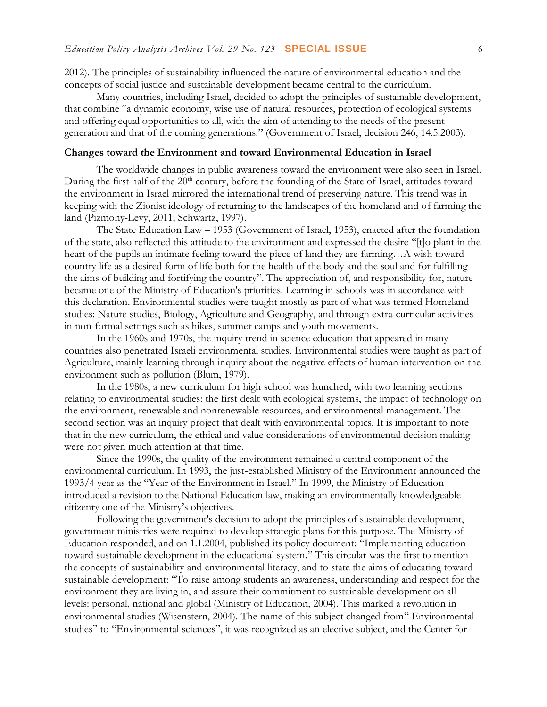2012). The principles of sustainability influenced the nature of environmental education and the concepts of social justice and sustainable development became central to the curriculum.

Many countries, including Israel, decided to adopt the principles of sustainable development, that combine "a dynamic economy, wise use of natural resources, protection of ecological systems and offering equal opportunities to all, with the aim of attending to the needs of the present generation and that of the coming generations." (Government of Israel, decision 246, 14.5.2003).

# **Changes toward the Environment and toward Environmental Education in Israel**

The worldwide changes in public awareness toward the environment were also seen in Israel. During the first half of the 20<sup>th</sup> century, before the founding of the State of Israel, attitudes toward the environment in Israel mirrored the international trend of preserving nature. This trend was in keeping with the Zionist ideology of returning to the landscapes of the homeland and of farming the land (Pizmony-Levy, 2011; Schwartz, 1997).

The State Education Law – 1953 (Government of Israel, 1953), enacted after the foundation of the state, also reflected this attitude to the environment and expressed the desire "[t]o plant in the heart of the pupils an intimate feeling toward the piece of land they are farming…A wish toward country life as a desired form of life both for the health of the body and the soul and for fulfilling the aims of building and fortifying the country". The appreciation of, and responsibility for, nature became one of the Ministry of Education's priorities. Learning in schools was in accordance with this declaration. Environmental studies were taught mostly as part of what was termed Homeland studies: Nature studies, Biology, Agriculture and Geography, and through extra-curricular activities in non-formal settings such as hikes, summer camps and youth movements.

In the 1960s and 1970s, the inquiry trend in science education that appeared in many countries also penetrated Israeli environmental studies. Environmental studies were taught as part of Agriculture, mainly learning through inquiry about the negative effects of human intervention on the environment such as pollution (Blum, 1979).

In the 1980s, a new curriculum for high school was launched, with two learning sections relating to environmental studies: the first dealt with ecological systems, the impact of technology on the environment, renewable and nonrenewable resources, and environmental management. The second section was an inquiry project that dealt with environmental topics. It is important to note that in the new curriculum, the ethical and value considerations of environmental decision making were not given much attention at that time.

Since the 1990s, the quality of the environment remained a central component of the environmental curriculum. In 1993, the just-established Ministry of the Environment announced the 1993/4 year as the "Year of the Environment in Israel." In 1999, the Ministry of Education introduced a revision to the National Education law, making an environmentally knowledgeable citizenry one of the Ministry's objectives.

Following the government's decision to adopt the principles of sustainable development, government ministries were required to develop strategic plans for this purpose. The Ministry of Education responded, and on 1.1.2004, published its policy document: "Implementing education toward sustainable development in the educational system." This circular was the first to mention the concepts of sustainability and environmental literacy, and to state the aims of educating toward sustainable development: "To raise among students an awareness, understanding and respect for the environment they are living in, and assure their commitment to sustainable development on all levels: personal, national and global (Ministry of Education, 2004). This marked a revolution in environmental studies (Wisenstern, 2004). The name of this subject changed from" Environmental studies" to "Environmental sciences", it was recognized as an elective subject, and the Center for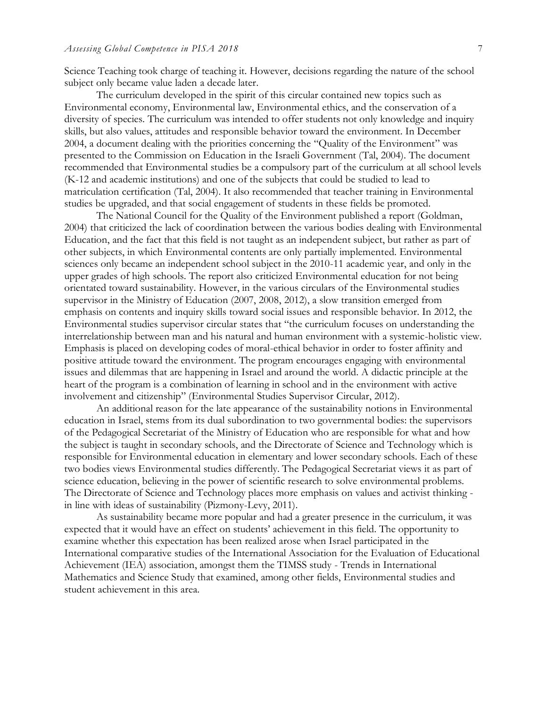Science Teaching took charge of teaching it. However, decisions regarding the nature of the school subject only became value laden a decade later.

The curriculum developed in the spirit of this circular contained new topics such as Environmental economy, Environmental law, Environmental ethics, and the conservation of a diversity of species. The curriculum was intended to offer students not only knowledge and inquiry skills, but also values, attitudes and responsible behavior toward the environment. In December 2004, a document dealing with the priorities concerning the "Quality of the Environment" was presented to the Commission on Education in the Israeli Government (Tal, 2004). The document recommended that Environmental studies be a compulsory part of the curriculum at all school levels (K-12 and academic institutions) and one of the subjects that could be studied to lead to matriculation certification (Tal, 2004). It also recommended that teacher training in Environmental studies be upgraded, and that social engagement of students in these fields be promoted.

The National Council for the Quality of the Environment published a report (Goldman, 2004) that criticized the lack of coordination between the various bodies dealing with Environmental Education, and the fact that this field is not taught as an independent subject, but rather as part of other subjects, in which Environmental contents are only partially implemented. Environmental sciences only became an independent school subject in the 2010-11 academic year, and only in the upper grades of high schools. The report also criticized Environmental education for not being orientated toward sustainability. However, in the various circulars of the Environmental studies supervisor in the Ministry of Education (2007, 2008, 2012), a slow transition emerged from emphasis on contents and inquiry skills toward social issues and responsible behavior. In 2012, the Environmental studies supervisor circular states that "the curriculum focuses on understanding the interrelationship between man and his natural and human environment with a systemic-holistic view. Emphasis is placed on developing codes of moral-ethical behavior in order to foster affinity and positive attitude toward the environment. The program encourages engaging with environmental issues and dilemmas that are happening in Israel and around the world. A didactic principle at the heart of the program is a combination of learning in school and in the environment with active involvement and citizenship" (Environmental Studies Supervisor Circular, 2012).

An additional reason for the late appearance of the sustainability notions in Environmental education in Israel, stems from its dual subordination to two governmental bodies: the supervisors of the Pedagogical Secretariat of the Ministry of Education who are responsible for what and how the subject is taught in secondary schools, and the Directorate of Science and Technology which is responsible for Environmental education in elementary and lower secondary schools. Each of these two bodies views Environmental studies differently. The Pedagogical Secretariat views it as part of science education, believing in the power of scientific research to solve environmental problems. The Directorate of Science and Technology places more emphasis on values and activist thinking in line with ideas of sustainability (Pizmony-Levy, 2011).

As sustainability became more popular and had a greater presence in the curriculum, it was expected that it would have an effect on students' achievement in this field. The opportunity to examine whether this expectation has been realized arose when Israel participated in the International comparative studies of the International Association for the Evaluation of Educational Achievement (IEA) association, amongst them the TIMSS study - Trends in International Mathematics and Science Study that examined, among other fields, Environmental studies and student achievement in this area.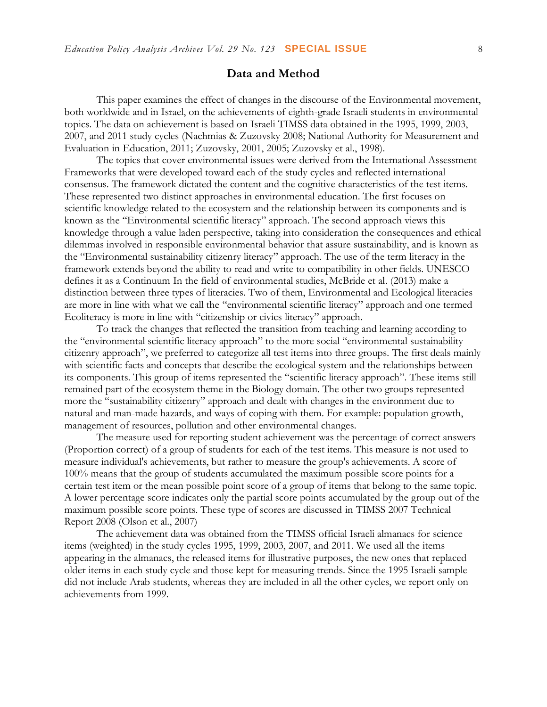# **Data and Method**

This paper examines the effect of changes in the discourse of the Environmental movement, both worldwide and in Israel, on the achievements of eighth-grade Israeli students in environmental topics. The data on achievement is based on Israeli TIMSS data obtained in the 1995, 1999, 2003, 2007, and 2011 study cycles (Nachmias & Zuzovsky 2008; National Authority for Measurement and Evaluation in Education, 2011; Zuzovsky, 2001, 2005; Zuzovsky et al., 1998).

The topics that cover environmental issues were derived from the International Assessment Frameworks that were developed toward each of the study cycles and reflected international consensus. The framework dictated the content and the cognitive characteristics of the test items. These represented two distinct approaches in environmental education. The first focuses on scientific knowledge related to the ecosystem and the relationship between its components and is known as the "Environmental scientific literacy" approach. The second approach views this knowledge through a value laden perspective, taking into consideration the consequences and ethical dilemmas involved in responsible environmental behavior that assure sustainability, and is known as the "Environmental sustainability citizenry literacy" approach. The use of the term literacy in the framework extends beyond the ability to read and write to compatibility in other fields. UNESCO defines it as a Continuum In the field of environmental studies, McBride et al. (2013) make a distinction between three types of literacies. Two of them, Environmental and Ecological literacies are more in line with what we call the "environmental scientific literacy" approach and one termed Ecoliteracy is more in line with "citizenship or civics literacy" approach.

To track the changes that reflected the transition from teaching and learning according to the "environmental scientific literacy approach" to the more social "environmental sustainability citizenry approach", we preferred to categorize all test items into three groups. The first deals mainly with scientific facts and concepts that describe the ecological system and the relationships between its components. This group of items represented the "scientific literacy approach". These items still remained part of the ecosystem theme in the Biology domain. The other two groups represented more the "sustainability citizenry" approach and dealt with changes in the environment due to natural and man-made hazards, and ways of coping with them. For example: population growth, management of resources, pollution and other environmental changes.

The measure used for reporting student achievement was the percentage of correct answers (Proportion correct) of a group of students for each of the test items. This measure is not used to measure individual's achievements, but rather to measure the group's achievements. A score of 100% means that the group of students accumulated the maximum possible score points for a certain test item or the mean possible point score of a group of items that belong to the same topic. A lower percentage score indicates only the partial score points accumulated by the group out of the maximum possible score points. These type of scores are discussed in TIMSS 2007 Technical Report 2008 (Olson et al., 2007)

The achievement data was obtained from the TIMSS official Israeli almanacs for science items (weighted) in the study cycles 1995, 1999, 2003, 2007, and 2011. We used all the items appearing in the almanacs, the released items for illustrative purposes, the new ones that replaced older items in each study cycle and those kept for measuring trends. Since the 1995 Israeli sample did not include Arab students, whereas they are included in all the other cycles, we report only on achievements from 1999.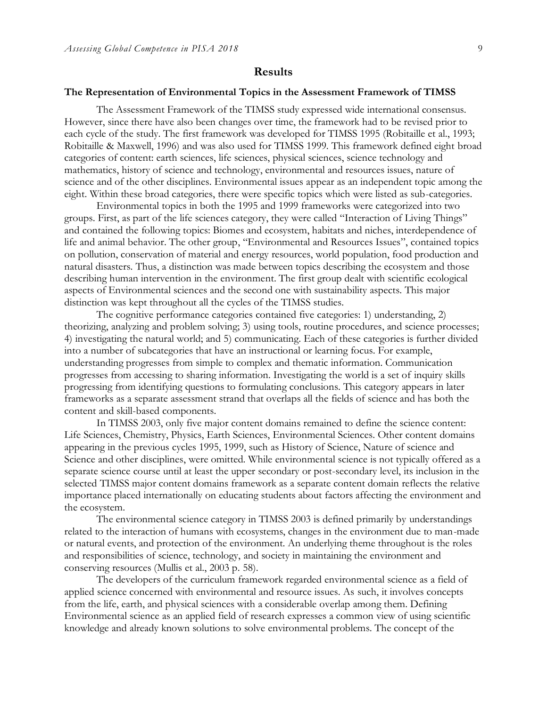## **Results**

#### **The Representation of Environmental Topics in the Assessment Framework of TIMSS**

The Assessment Framework of the TIMSS study expressed wide international consensus. However, since there have also been changes over time, the framework had to be revised prior to each cycle of the study. The first framework was developed for TIMSS 1995 (Robitaille et al., 1993; Robitaille & Maxwell, 1996) and was also used for TIMSS 1999. This framework defined eight broad categories of content: earth sciences, life sciences, physical sciences, science technology and mathematics, history of science and technology, environmental and resources issues, nature of science and of the other disciplines. Environmental issues appear as an independent topic among the eight. Within these broad categories, there were specific topics which were listed as sub-categories.

Environmental topics in both the 1995 and 1999 frameworks were categorized into two groups. First, as part of the life sciences category, they were called "Interaction of Living Things" and contained the following topics: Biomes and ecosystem, habitats and niches, interdependence of life and animal behavior. The other group, "Environmental and Resources Issues", contained topics on pollution, conservation of material and energy resources, world population, food production and natural disasters. Thus, a distinction was made between topics describing the ecosystem and those describing human intervention in the environment. The first group dealt with scientific ecological aspects of Environmental sciences and the second one with sustainability aspects. This major distinction was kept throughout all the cycles of the TIMSS studies.

The cognitive performance categories contained five categories: 1) understanding, 2) theorizing, analyzing and problem solving; 3) using tools, routine procedures, and science processes; 4) investigating the natural world; and 5) communicating. Each of these categories is further divided into a number of subcategories that have an instructional or learning focus. For example, understanding progresses from simple to complex and thematic information. Communication progresses from accessing to sharing information. Investigating the world is a set of inquiry skills progressing from identifying questions to formulating conclusions. This category appears in later frameworks as a separate assessment strand that overlaps all the fields of science and has both the content and skill-based components.

In TIMSS 2003, only five major content domains remained to define the science content: Life Sciences, Chemistry, Physics, Earth Sciences, Environmental Sciences. Other content domains appearing in the previous cycles 1995, 1999, such as History of Science, Nature of science and Science and other disciplines, were omitted. While environmental science is not typically offered as a separate science course until at least the upper secondary or post-secondary level, its inclusion in the selected TIMSS major content domains framework as a separate content domain reflects the relative importance placed internationally on educating students about factors affecting the environment and the ecosystem.

The environmental science category in TIMSS 2003 is defined primarily by understandings related to the interaction of humans with ecosystems, changes in the environment due to man-made or natural events, and protection of the environment. An underlying theme throughout is the roles and responsibilities of science, technology, and society in maintaining the environment and conserving resources (Mullis et al., 2003 p. 58).

The developers of the curriculum framework regarded environmental science as a field of applied science concerned with environmental and resource issues. As such, it involves concepts from the life, earth, and physical sciences with a considerable overlap among them. Defining Environmental science as an applied field of research expresses a common view of using scientific knowledge and already known solutions to solve environmental problems. The concept of the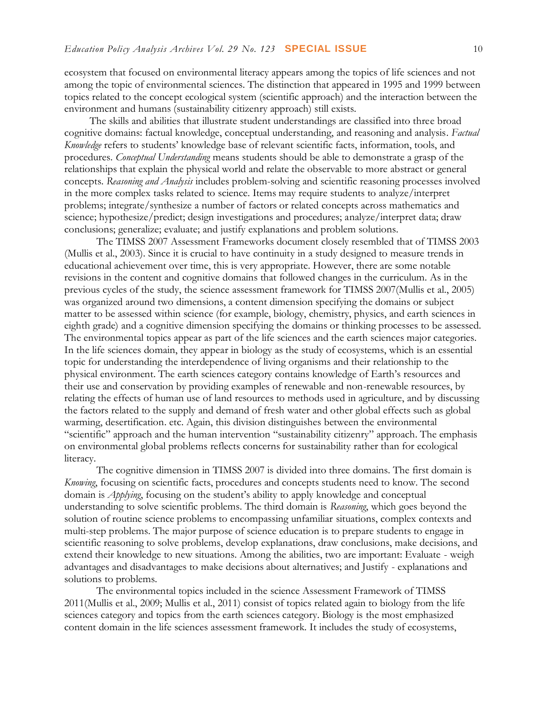ecosystem that focused on environmental literacy appears among the topics of life sciences and not among the topic of environmental sciences. The distinction that appeared in 1995 and 1999 between topics related to the concept ecological system (scientific approach) and the interaction between the environment and humans (sustainability citizenry approach) still exists.

The skills and abilities that illustrate student understandings are classified into three broad cognitive domains: factual knowledge, conceptual understanding, and reasoning and analysis. *Factual Knowledge* refers to students' knowledge base of relevant scientific facts, information, tools, and procedures. *Conceptual Understanding* means students should be able to demonstrate a grasp of the relationships that explain the physical world and relate the observable to more abstract or general concepts. *Reasoning and Analysis* includes problem-solving and scientific reasoning processes involved in the more complex tasks related to science. Items may require students to analyze/interpret problems; integrate/synthesize a number of factors or related concepts across mathematics and science; hypothesize/predict; design investigations and procedures; analyze/interpret data; draw conclusions; generalize; evaluate; and justify explanations and problem solutions.

The TIMSS 2007 Assessment Frameworks document closely resembled that of TIMSS 2003 (Mullis et al., 2003). Since it is crucial to have continuity in a study designed to measure trends in educational achievement over time, this is very appropriate. However, there are some notable revisions in the content and cognitive domains that followed changes in the curriculum. As in the previous cycles of the study, the science assessment framework for TIMSS 2007(Mullis et al., 2005) was organized around two dimensions, a content dimension specifying the domains or subject matter to be assessed within science (for example, biology, chemistry, physics, and earth sciences in eighth grade) and a cognitive dimension specifying the domains or thinking processes to be assessed. The environmental topics appear as part of the life sciences and the earth sciences major categories. In the life sciences domain, they appear in biology as the study of ecosystems, which is an essential topic for understanding the interdependence of living organisms and their relationship to the physical environment. The earth sciences category contains knowledge of Earth's resources and their use and conservation by providing examples of renewable and non-renewable resources, by relating the effects of human use of land resources to methods used in agriculture, and by discussing the factors related to the supply and demand of fresh water and other global effects such as global warming, desertification. etc. Again, this division distinguishes between the environmental "scientific" approach and the human intervention "sustainability citizenry" approach. The emphasis on environmental global problems reflects concerns for sustainability rather than for ecological literacy.

The cognitive dimension in TIMSS 2007 is divided into three domains. The first domain is *Knowing*, focusing on scientific facts, procedures and concepts students need to know. The second domain is *Applying*, focusing on the student's ability to apply knowledge and conceptual understanding to solve scientific problems. The third domain is *Reasoning*, which goes beyond the solution of routine science problems to encompassing unfamiliar situations, complex contexts and multi-step problems. The major purpose of science education is to prepare students to engage in scientific reasoning to solve problems, develop explanations, draw conclusions, make decisions, and extend their knowledge to new situations. Among the abilities, two are important: Evaluate - weigh advantages and disadvantages to make decisions about alternatives; and Justify - explanations and solutions to problems.

The environmental topics included in the science Assessment Framework of TIMSS 2011(Mullis et al., 2009; Mullis et al., 2011) consist of topics related again to biology from the life sciences category and topics from the earth sciences category. Biology is the most emphasized content domain in the life sciences assessment framework. It includes the study of ecosystems,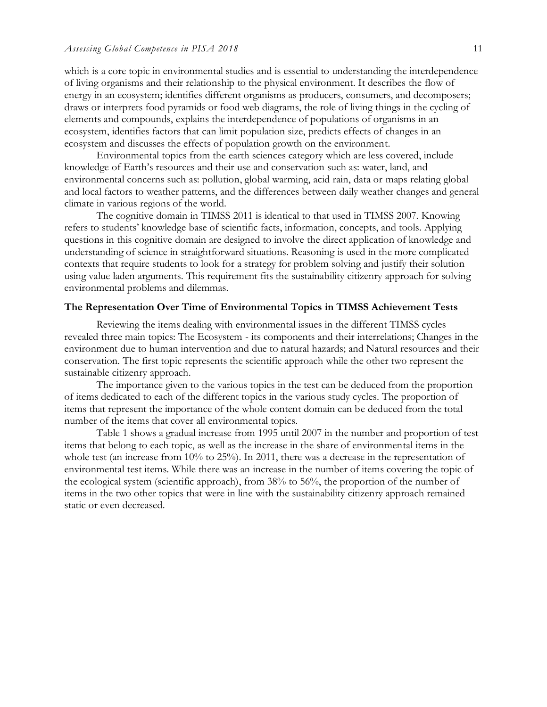which is a core topic in environmental studies and is essential to understanding the interdependence of living organisms and their relationship to the physical environment. It describes the flow of energy in an ecosystem; identifies different organisms as producers, consumers, and decomposers; draws or interprets food pyramids or food web diagrams, the role of living things in the cycling of elements and compounds, explains the interdependence of populations of organisms in an ecosystem, identifies factors that can limit population size, predicts effects of changes in an ecosystem and discusses the effects of population growth on the environment.

Environmental topics from the earth sciences category which are less covered, include knowledge of Earth's resources and their use and conservation such as: water, land, and environmental concerns such as: pollution, global warming, acid rain, data or maps relating global and local factors to weather patterns, and the differences between daily weather changes and general climate in various regions of the world.

The cognitive domain in TIMSS 2011 is identical to that used in TIMSS 2007. Knowing refers to students' knowledge base of scientific facts, information, concepts, and tools. Applying questions in this cognitive domain are designed to involve the direct application of knowledge and understanding of science in straightforward situations. Reasoning is used in the more complicated contexts that require students to look for a strategy for problem solving and justify their solution using value laden arguments. This requirement fits the sustainability citizenry approach for solving environmental problems and dilemmas.

#### **The Representation Over Time of Environmental Topics in TIMSS Achievement Tests**

Reviewing the items dealing with environmental issues in the different TIMSS cycles revealed three main topics: The Ecosystem - its components and their interrelations; Changes in the environment due to human intervention and due to natural hazards; and Natural resources and their conservation. The first topic represents the scientific approach while the other two represent the sustainable citizenry approach.

The importance given to the various topics in the test can be deduced from the proportion of items dedicated to each of the different topics in the various study cycles. The proportion of items that represent the importance of the whole content domain can be deduced from the total number of the items that cover all environmental topics.

Table 1 shows a gradual increase from 1995 until 2007 in the number and proportion of test items that belong to each topic, as well as the increase in the share of environmental items in the whole test (an increase from 10% to 25%). In 2011, there was a decrease in the representation of environmental test items. While there was an increase in the number of items covering the topic of the ecological system (scientific approach), from 38% to 56%, the proportion of the number of items in the two other topics that were in line with the sustainability citizenry approach remained static or even decreased.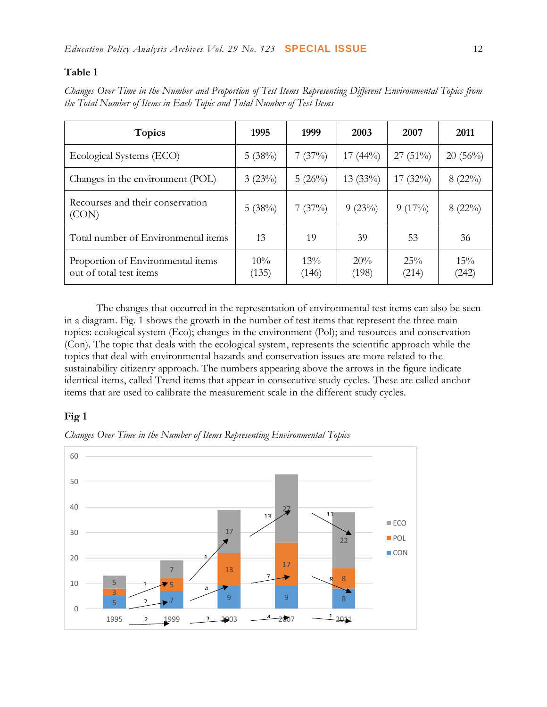# **Table 1**

|  | Changes Over Time in the Number and Proportion of Test Items Representing Different Environmental Topics from |  |  |  |
|--|---------------------------------------------------------------------------------------------------------------|--|--|--|
|  | the Total Number of Items in Each Topic and Total Number of Test Items                                        |  |  |  |

| <b>Topics</b>                                                | 1995            | 1999         | 2003         | 2007         | 2011         |
|--------------------------------------------------------------|-----------------|--------------|--------------|--------------|--------------|
| Ecological Systems (ECO)                                     | 5(38%)          | 7(37%)       | $17(44\%)$   | $27(51\%)$   | $20(56\%)$   |
| Changes in the environment (POL)                             | 3(23%)          | 5(26%)       | $13(33\%)$   | $17(32\%)$   | $8(22\%)$    |
| Recourses and their conservation<br>(CON)                    | 5(38%)          | 7(37%)       | 9(23%)       | $9(17\%)$    | $8(22\%)$    |
| Total number of Environmental items                          | 13              | 19           | 39           | 53           | 36           |
| Proportion of Environmental items<br>out of total test items | $10\%$<br>(135) | 13%<br>(146) | 20%<br>(198) | 25%<br>(214) | 15%<br>(242) |

The changes that occurred in the representation of environmental test items can also be seen in a diagram. Fig. 1 shows the growth in the number of test items that represent the three main topics: ecological system (Eco); changes in the environment (Pol); and resources and conservation (Con). The topic that deals with the ecological system, represents the scientific approach while the topics that deal with environmental hazards and conservation issues are more related to the sustainability citizenry approach. The numbers appearing above the arrows in the figure indicate identical items, called Trend items that appear in consecutive study cycles. These are called anchor items that are used to calibrate the measurement scale in the different study cycles.

# **Fig 1**



*Changes Over Time in the Number of Items Representing Environmental Topics*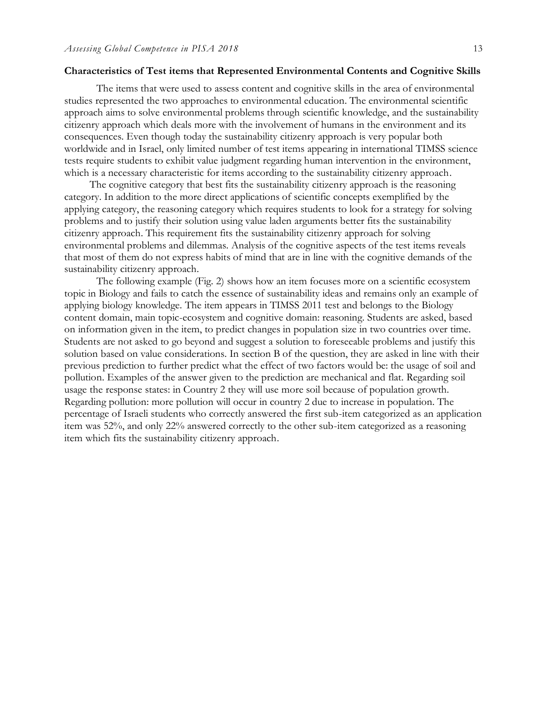#### **Characteristics of Test items that Represented Environmental Contents and Cognitive Skills**

The items that were used to assess content and cognitive skills in the area of environmental studies represented the two approaches to environmental education. The environmental scientific approach aims to solve environmental problems through scientific knowledge, and the sustainability citizenry approach which deals more with the involvement of humans in the environment and its consequences. Even though today the sustainability citizenry approach is very popular both worldwide and in Israel, only limited number of test items appearing in international TIMSS science tests require students to exhibit value judgment regarding human intervention in the environment, which is a necessary characteristic for items according to the sustainability citizenry approach.

The cognitive category that best fits the sustainability citizenry approach is the reasoning category. In addition to the more direct applications of scientific concepts exemplified by the applying category, the reasoning category which requires students to look for a strategy for solving problems and to justify their solution using value laden arguments better fits the sustainability citizenry approach. This requirement fits the sustainability citizenry approach for solving environmental problems and dilemmas. Analysis of the cognitive aspects of the test items reveals that most of them do not express habits of mind that are in line with the cognitive demands of the sustainability citizenry approach.

The following example (Fig. 2) shows how an item focuses more on a scientific ecosystem topic in Biology and fails to catch the essence of sustainability ideas and remains only an example of applying biology knowledge. The item appears in TIMSS 2011 test and belongs to the Biology content domain, main topic-ecosystem and cognitive domain: reasoning. Students are asked, based on information given in the item, to predict changes in population size in two countries over time. Students are not asked to go beyond and suggest a solution to foreseeable problems and justify this solution based on value considerations. In section B of the question, they are asked in line with their previous prediction to further predict what the effect of two factors would be: the usage of soil and pollution. Examples of the answer given to the prediction are mechanical and flat. Regarding soil usage the response states: in Country 2 they will use more soil because of population growth. Regarding pollution: more pollution will occur in country 2 due to increase in population. The percentage of Israeli students who correctly answered the first sub-item categorized as an application item was 52%, and only 22% answered correctly to the other sub-item categorized as a reasoning item which fits the sustainability citizenry approach.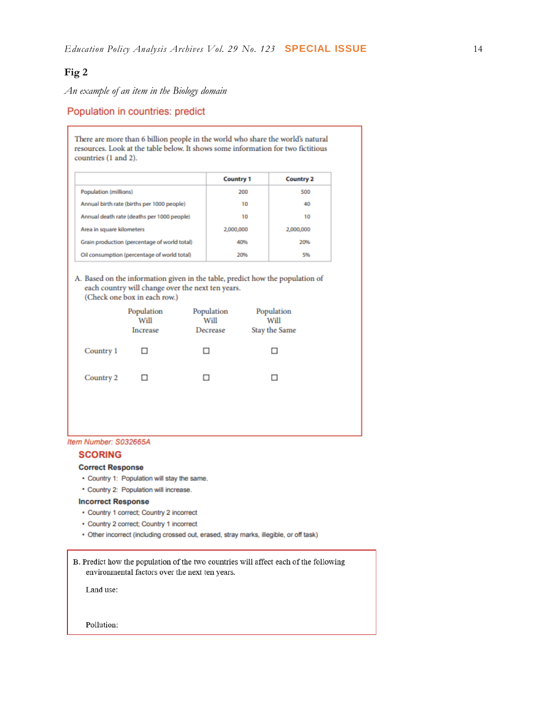# **Fig 2**

*An example of an item in the Biology domain*

## Population in countries: predict

There are more than 6 billion people in the world who share the world's natural resources. Look at the table below. It shows some information for two fictitious countries (1 and 2).

|                                              | <b>Country 1</b> | <b>Country 2</b> |
|----------------------------------------------|------------------|------------------|
| Population (millions)                        | 200              | 500              |
| Annual birth rate (births per 1000 people)   | 10               | 40               |
| Annual death rate (deaths per 1000 people)   | 10               | 10               |
| Area in square kilometers                    | 2,000,000        | 2,000,000        |
| Grain production (percentage of world total) | 40%              | 20%              |
| Oil consumption (percentage of world total)  | 20%              | 5%               |

A. Based on the information given in the table, predict how the population of each country will change over the next ten years.

(Check one box in each row.)

|           | Population<br>Will<br>Increase | Population<br>Will<br>Decrease | Population<br>Will<br>Stay the Same |  |
|-----------|--------------------------------|--------------------------------|-------------------------------------|--|
| Country 1 | □                              | □                              | □                                   |  |
| Country 2 | ⊔                              |                                | $\Box$                              |  |
|           |                                |                                |                                     |  |

#### Item Number: S032665A

#### **SCORING**

#### **Correct Response**

- Country 1: Population will stay the same.
- \* Country 2: Population will increase.

#### **Incorrect Response**

- Country 1 correct; Country 2 incorrect
- Country 2 correct; Country 1 incorrect
- · Other incorrect (including crossed out, erased, stray marks, illegible, or off task)

B. Predict how the population of the two countries will affect each of the following environmental factors over the next ten years.

Land use:

Pollution: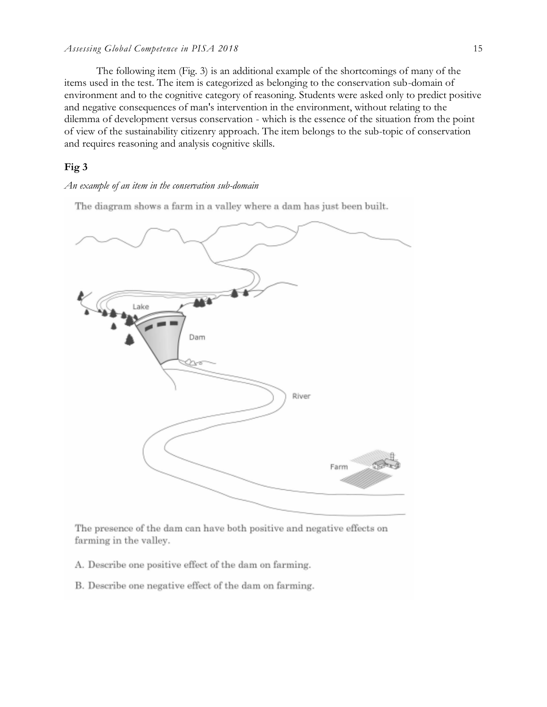#### *Assessing Global Competence in PISA 2018* 15

The following item (Fig. 3) is an additional example of the shortcomings of many of the items used in the test. The item is categorized as belonging to the conservation sub-domain of environment and to the cognitive category of reasoning. Students were asked only to predict positive and negative consequences of man's intervention in the environment, without relating to the dilemma of development versus conservation - which is the essence of the situation from the point of view of the sustainability citizenry approach. The item belongs to the sub-topic of conservation and requires reasoning and analysis cognitive skills.

# **Fig 3**

#### *An example of an item in the conservation sub-domain*

The diagram shows a farm in a valley where a dam has just been built.



The presence of the dam can have both positive and negative effects on farming in the valley.

- A. Describe one positive effect of the dam on farming.
- B. Describe one negative effect of the dam on farming.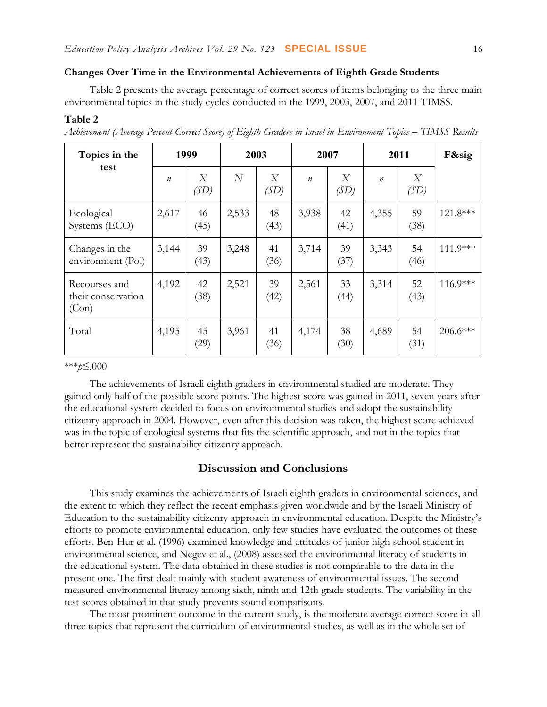#### **Changes Over Time in the Environmental Achievements of Eighth Grade Students**

Table 2 presents the average percentage of correct scores of items belonging to the three main environmental topics in the study cycles conducted in the 1999, 2003, 2007, and 2011 TIMSS.

### **Table 2**

| Topics in the                                | 1999             |            | 2003           |            | 2007             |                          | 2011             |            | F&sig      |
|----------------------------------------------|------------------|------------|----------------|------------|------------------|--------------------------|------------------|------------|------------|
| test                                         | $\boldsymbol{n}$ | X<br>(SD)  | $\overline{N}$ | X<br>(SD)  | $\boldsymbol{n}$ | $\boldsymbol{X}$<br>(SD) | $\boldsymbol{n}$ | X<br>(SD)  |            |
| Ecological<br>Systems (ECO)                  | 2,617            | 46<br>(45) | 2,533          | 48<br>(43) | 3,938            | 42<br>(41)               | 4,355            | 59<br>(38) | $121.8***$ |
| Changes in the<br>environment (Pol)          | 3,144            | 39<br>(43) | 3,248          | 41<br>(36) | 3,714            | 39<br>(37)               | 3,343            | 54<br>(46) | 111.9***   |
| Recourses and<br>their conservation<br>(Con) | 4,192            | 42<br>(38) | 2,521          | 39<br>(42) | 2,561            | 33<br>(44)               | 3,314            | 52<br>(43) | $116.9***$ |
| Total                                        | 4,195            | 45<br>(29) | 3,961          | 41<br>(36) | 4,174            | 38<br>(30)               | 4,689            | 54<br>(31) | 206.6***   |

*Achievement (Average Percent Correct Score) of Eighth Graders in Israel in Environment Topics – TIMSS Results*

\*\*\**p*≤.000

The achievements of Israeli eighth graders in environmental studied are moderate. They gained only half of the possible score points. The highest score was gained in 2011, seven years after the educational system decided to focus on environmental studies and adopt the sustainability citizenry approach in 2004. However, even after this decision was taken, the highest score achieved was in the topic of ecological systems that fits the scientific approach, and not in the topics that better represent the sustainability citizenry approach.

# **Discussion and Conclusions**

This study examines the achievements of Israeli eighth graders in environmental sciences, and the extent to which they reflect the recent emphasis given worldwide and by the Israeli Ministry of Education to the sustainability citizenry approach in environmental education. Despite the Ministry's efforts to promote environmental education, only few studies have evaluated the outcomes of these efforts. Ben-Hur et al. (1996) examined knowledge and attitudes of junior high school student in environmental science, and Negev et al., (2008) assessed the environmental literacy of students in the educational system. The data obtained in these studies is not comparable to the data in the present one. The first dealt mainly with student awareness of environmental issues. The second measured environmental literacy among sixth, ninth and 12th grade students. The variability in the test scores obtained in that study prevents sound comparisons.

The most prominent outcome in the current study, is the moderate average correct score in all three topics that represent the curriculum of environmental studies, as well as in the whole set of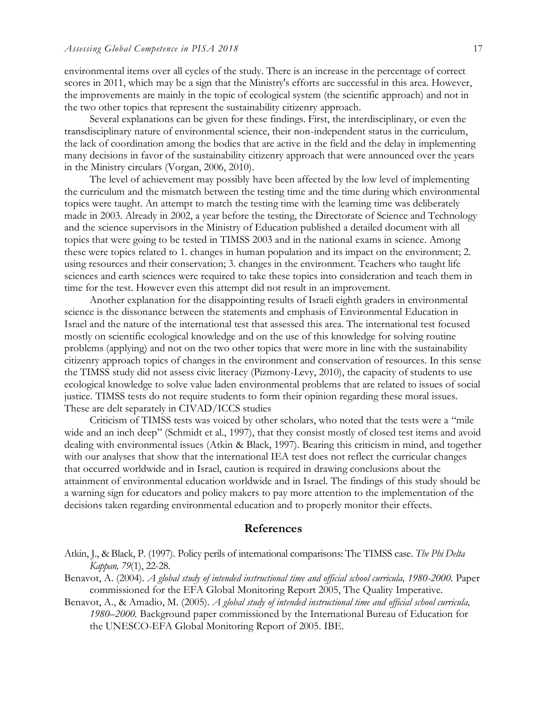environmental items over all cycles of the study. There is an increase in the percentage of correct scores in 2011, which may be a sign that the Ministry's efforts are successful in this area. However, the improvements are mainly in the topic of ecological system (the scientific approach) and not in the two other topics that represent the sustainability citizenry approach.

Several explanations can be given for these findings. First, the interdisciplinary, or even the transdisciplinary nature of environmental science, their non-independent status in the curriculum, the lack of coordination among the bodies that are active in the field and the delay in implementing many decisions in favor of the sustainability citizenry approach that were announced over the years in the Ministry circulars (Vorgan, 2006, 2010).

The level of achievement may possibly have been affected by the low level of implementing the curriculum and the mismatch between the testing time and the time during which environmental topics were taught. An attempt to match the testing time with the learning time was deliberately made in 2003. Already in 2002, a year before the testing, the Directorate of Science and Technology and the science supervisors in the Ministry of Education published a detailed document with all topics that were going to be tested in TIMSS 2003 and in the national exams in science. Among these were topics related to 1. changes in human population and its impact on the environment; 2. using resources and their conservation; 3. changes in the environment. Teachers who taught life sciences and earth sciences were required to take these topics into consideration and teach them in time for the test. However even this attempt did not result in an improvement.

Another explanation for the disappointing results of Israeli eighth graders in environmental science is the dissonance between the statements and emphasis of Environmental Education in Israel and the nature of the international test that assessed this area. The international test focused mostly on scientific ecological knowledge and on the use of this knowledge for solving routine problems (applying) and not on the two other topics that were more in line with the sustainability citizenry approach topics of changes in the environment and conservation of resources. In this sense the TIMSS study did not assess civic literacy (Pizmony-Levy, 2010), the capacity of students to use ecological knowledge to solve value laden environmental problems that are related to issues of social justice. TIMSS tests do not require students to form their opinion regarding these moral issues. These are delt separately in CIVAD/ICCS studies

Criticism of TIMSS tests was voiced by other scholars, who noted that the tests were a "mile wide and an inch deep" (Schmidt et al., 1997), that they consist mostly of closed test items and avoid dealing with environmental issues (Atkin & Black, 1997). Bearing this criticism in mind, and together with our analyses that show that the international IEA test does not reflect the curricular changes that occurred worldwide and in Israel, caution is required in drawing conclusions about the attainment of environmental education worldwide and in Israel. The findings of this study should be a warning sign for educators and policy makers to pay more attention to the implementation of the decisions taken regarding environmental education and to properly monitor their effects.

### **References**

- Atkin, J., & Black, P. (1997). Policy perils of international comparisons: The TIMSS case. *The Phi Delta Kappan, 79*(1), 22-28.
- Benavot, A. (2004). *A global study of intended instructional time and official school curricula, 1980-2000.* Paper commissioned for the EFA Global Monitoring Report 2005, The Quality Imperative.
- Benavot, A., & Amadio, M. (2005). *A global study of intended instructional time and official school curricula, 1980–2000.* Background paper commissioned by the International Bureau of Education for the UNESCO-EFA Global Monitoring Report of 2005. IBE.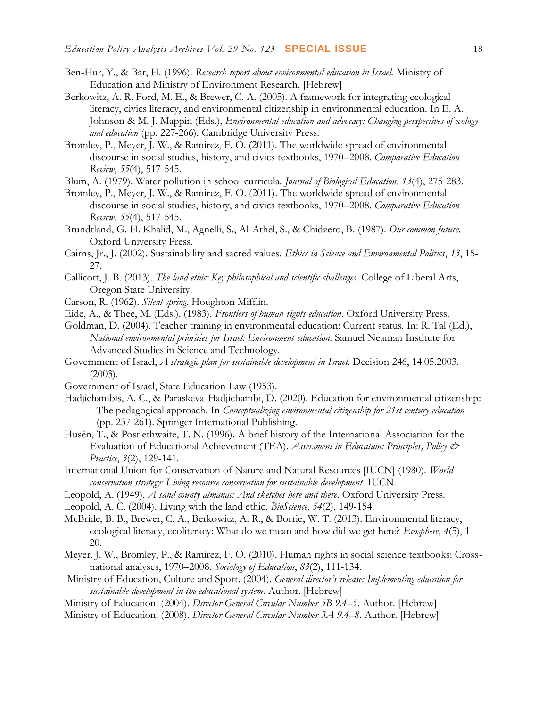- Ben-Hur, Y., & Bar, H. (1996). *Research report about environmental education in Israel.* Ministry of Education and Ministry of Environment Research. [Hebrew]
- Berkowitz, A. R. Ford, M. E., & Brewer, C. A. (2005). A framework for integrating ecological literacy, civics literacy, and environmental citizenship in environmental education. In E. A. Johnson & M. J. Mappin (Eds.), *Environmental education and advocacy: Changing perspectives of ecology and education* (pp. 227-266). Cambridge University Press.
- Bromley, P., Meyer, J. W., & Ramirez, F. O. (2011). The worldwide spread of environmental discourse in social studies, history, and civics textbooks, 1970–2008. *Comparative Education Review*, *55*(4), 517-545.
- Blum, A. (1979). Water pollution in school curricula. *Journal of Biological Education*, *13*(4), 275-283.
- Bromley, P., Meyer, J. W., & Ramirez, F. O. (2011). The worldwide spread of environmental discourse in social studies, history, and civics textbooks, 1970–2008. *Comparative Education Review*, *55*(4), 517-545.
- Brundtland, G. H. Khalid, M., Agnelli, S., Al-Athel, S., & Chidzero, B. (1987). *Our common future.*  Oxford University Press.
- Cairns, Jr., J. (2002). Sustainability and sacred values. *Ethics in Science and Environmental Politics*, *13*, 15- 27.
- Callicott, J. B. (2013). *The land ethic: Key philosophical and scientific challenges.* College of Liberal Arts, Oregon State University.
- Carson, R. (1962). *Silent spring*. Houghton Mifflin.
- Eide, A., & Thee, M. (Eds.). (1983). *Frontiers of human rights education*. Oxford University Press.
- Goldman, D. (2004). Teacher training in environmental education: Current status. In: R. Tal (Ed.), *National environmental priorities for Israel: Environment education*. Samuel Neaman Institute for Advanced Studies in Science and Technology.
- Government of Israel, *A strategic plan for sustainable development in Israel*. Decision 246, 14.05.2003.  $(2003)$ .
- Government of Israel, State Education Law (1953).
- Hadjichambis, A. C., & Paraskeva-Hadjichambi, D. (2020). Education for environmental citizenship: The pedagogical approach. In *Conceptualizing environmental citizenship for 21st century education* (pp. 237-261). Springer International Publishing.
- Husén, T., & Postlethwaite, T. N. (1996). A brief history of the International Association for the Evaluation of Educational Achievement (TEA). *Assessment in Education: Principles, Policy & Practice*, *3*(2), 129-141.
- International Union for Conservation of Nature and Natural Resources [IUCN] (1980). *World conservation strategy: Living resource conservation for sustainable development*. IUCN.
- Leopold, A. (1949). *A sand county almanac: And sketches here and there*. Oxford University Press.
- Leopold, A. C. (2004). Living with the land ethic. *BioScience*, *54*(2), 149-154.
- McBride, B. B., Brewer, C. A., Berkowitz, A. R., & Borrie, W. T. (2013). Environmental literacy, ecological literacy, ecoliteracy: What do we mean and how did we get here? *Ecosphere*, *4*(5), 1- 20.
- Meyer, J. W., Bromley, P., & Ramirez, F. O. (2010). Human rights in social science textbooks: Crossnational analyses, 1970–2008. *Sociology of Education*, *83*(2), 111-134.
- Ministry of Education, Culture and Sport. (2004). *General director's release: Implementing education for sustainable development in the educational system.* Author. [Hebrew]
- Ministry of Education. (2004). *Director-General Circular Number 5B 9.4–5*. Author. [Hebrew]
- Ministry of Education. (2008). *Director-General Circular Number 3A 9.4–8*. Author. [Hebrew]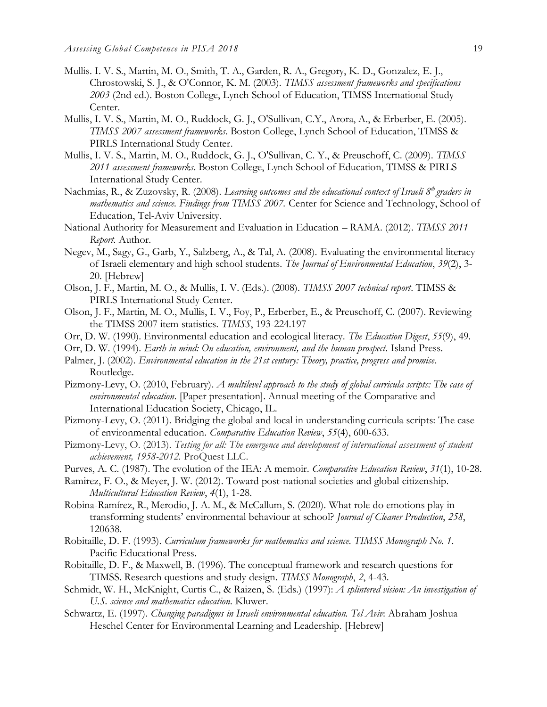- Mullis. I. V. S., Martin, M. O., Smith, T. A., Garden, R. A., Gregory, K. D., Gonzalez, E. J., Chrostowski, S. J., & O'Connor, K. M. (2003). *TIMSS assessment frameworks and specifications 2003* (2nd ed.). Boston College, Lynch School of Education, TIMSS International Study Center.
- Mullis, I. V. S., Martin, M. O., Ruddock, G. J., O'Sullivan, C.Y., Arora, A., & Erberber, E. (2005). *TIMSS 2007 assessment frameworks*. Boston College, Lynch School of Education, TIMSS & PIRLS International Study Center.
- Mullis, I. V. S., Martin, M. O., Ruddock, G. J., O'Sullivan, C. Y., & Preuschoff, C. (2009). *TIMSS 2011 assessment frameworks*. Boston College, Lynch School of Education, TIMSS & PIRLS International Study Center.
- Nachmias, R., & Zuzovsky, R. (2008). *Learning outcomes and the educational context of Israeli 8th graders in mathematics and science. Findings from TIMSS 2007.* Center for Science and Technology, School of Education, Tel-Aviv University.
- National Authority for Measurement and Evaluation in Education RAMA. (2012). *TIMSS 2011 Report.* Author.
- Negev, M., Sagy, G., Garb, Y., Salzberg, A., & Tal, A. (2008). Evaluating the environmental literacy of Israeli elementary and high school students. *The Journal of Environmental Education*, *39*(2), 3- 20. [Hebrew]
- Olson, J. F., Martin, M. O., & Mullis, I. V. (Eds.). (2008). *TIMSS 2007 technical report*. TIMSS & PIRLS International Study Center.
- Olson, J. F., Martin, M. O., Mullis, I. V., Foy, P., Erberber, E., & Preuschoff, C. (2007). Reviewing the TIMSS 2007 item statistics. *TIMSS*, 193-224.197
- Orr, D. W. (1990). Environmental education and ecological literacy. *The Education Digest*, *55*(9), 49.
- Orr, D. W. (1994). *Earth in mind: On education, environment, and the human prospect.* Island Press.
- Palmer, J. (2002). *Environmental education in the 21st century: Theory, practice, progress and promise*. Routledge.
- Pizmony-Levy, O. (2010, February). *A multilevel approach to the study of global curricula scripts: The case of environmental education*. [Paper presentation]. Annual meeting of the Comparative and International Education Society, Chicago, IL.
- Pizmony-Levy, O. (2011). Bridging the global and local in understanding curricula scripts: The case of environmental education. *Comparative Education Review*, *55*(4), 600-633.
- Pizmony-Levy, O. (2013). *Testing for all: The emergence and development of international assessment of student achievement, 1958-2012.* ProQuest LLC.
- Purves, A. C. (1987). The evolution of the IEA: A memoir. *Comparative Education Review*, *31*(1), 10-28.
- Ramirez, F. O., & Meyer, J. W. (2012). Toward post-national societies and global citizenship. *Multicultural Education Review*, *4*(1), 1-28.
- Robina-Ramírez, R., Merodio, J. A. M., & McCallum, S. (2020). What role do emotions play in transforming students' environmental behaviour at school? *Journal of Cleaner Production*, *258*, 120638.
- Robitaille, D. F. (1993). *Curriculum frameworks for mathematics and science. TIMSS Monograph No. 1*. Pacific Educational Press.
- Robitaille, D. F., & Maxwell, B. (1996). The conceptual framework and research questions for TIMSS. Research questions and study design*. TIMSS Monograph*, *2*, 4-43.
- Schmidt, W. H., McKnight, Curtis C., & Raizen, S. (Eds.) (1997): *A splintered vision: An investigation of U.S. science and mathematics education*. Kluwer.
- Schwartz, E. (1997). *Changing paradigms in Israeli environmental education. Tel Aviv*: Abraham Joshua Heschel Center for Environmental Learning and Leadership. [Hebrew]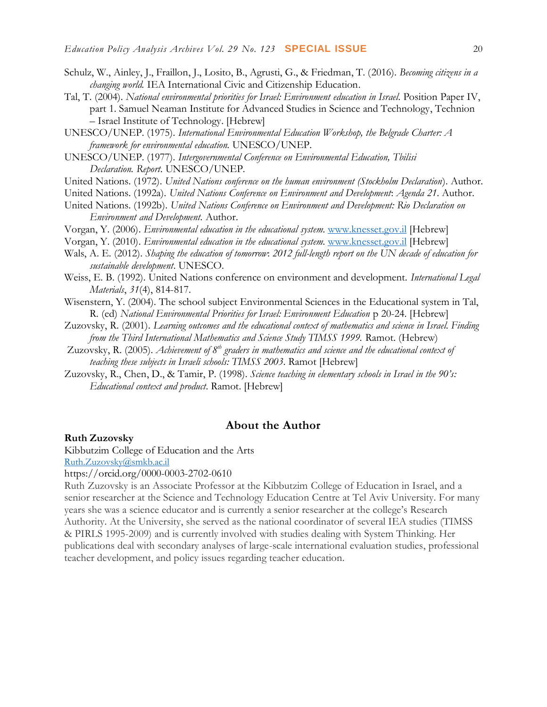- Schulz, W., Ainley, J., Fraillon, J., Losito, B., Agrusti, G., & Friedman, T. (2016). *Becoming citizens in a changing world.* IEA International Civic and Citizenship Education.
- Tal, T. (2004). *National environmental priorities for Israel: Environment education in Israel*. Position Paper IV, part 1. Samuel Neaman Institute for Advanced Studies in Science and Technology, Technion – Israel Institute of Technology. [Hebrew]
- UNESCO/UNEP. (1975). *International Environmental Education Workshop, the Belgrade Charter: A framework for environmental education.* UNESCO/UNEP.
- UNESCO/UNEP. (1977). *Intergovernmental Conference on Environmental Education, Tbilisi Declaration. Report*. UNESCO/UNEP.
- United Nations. (1972). *United Nations conference on the human environment (Stockholm Declaration*). Author.
- United Nations. (1992a). *United Nations Conference on Environment and Development*: *Agenda 21*. Author.
- United Nations. (1992b). *United Nations Conference on Environment and Development: Rio Declaration on Environment and Development.* Author.
- Vorgan, Y. (2006). *Environmental education in the educational system.* [www.knesset.gov.il](http://www.knesset.gov.il/) [Hebrew]
- Vorgan, Y. (2010). *Environmental education in the educational system.* [www.knesset.gov.il](http://www.knesset.gov.il/) [Hebrew]
- Wals, A. E. (2012). *Shaping the education of tomorrow*: *2012 full-length report on the UN decade of education for sustainable development*. UNESCO.
- Weiss, E. B. (1992). United Nations conference on environment and development. *International Legal Materials*, *31*(4), 814-817.
- Wisenstern, Y. (2004). The school subject Environmental Sciences in the Educational system in Tal, R. (ed) *National Environmental Priorities for Israel: Environment Education* p 20-24. [Hebrew]
- Zuzovsky, R. (2001). *Learning outcomes and the educational context of mathematics and science in Israel. Finding from the Third International Mathematics and Science Study TIMSS 1999.* Ramot. (Hebrew)
- Zuzovsky, R. (2005). *Achievement of 8th graders in mathematics and science and the educational context of teaching these subjects in Israeli schools: TIMSS 2003*. Ramot [Hebrew]
- Zuzovsky, R., Chen, D., & Tamir, P. (1998). *Science teaching in elementary schools in Israel in the 90's: Educational context and product*. Ramot. [Hebrew]

## **About the Author**

#### **Ruth Zuzovsky**

Kibbutzim College of Education and the Arts

[Ruth.Zuzovsky@smkb.ac.il](mailto:Ruth.Zuzovsky@smkb.ac.il)

https://orcid.org/0000-0003-2702-0610

Ruth Zuzovsky is an Associate Professor at the Kibbutzim College of Education in Israel, and a senior researcher at the Science and Technology Education Centre at Tel Aviv University. For many years she was a science educator and is currently a senior researcher at the college's Research Authority. At the University, she served as the national coordinator of several IEA studies (TIMSS & PIRLS 1995-2009) and is currently involved with studies dealing with System Thinking. Her publications deal with secondary analyses of large-scale international evaluation studies, professional teacher development, and policy issues regarding teacher education.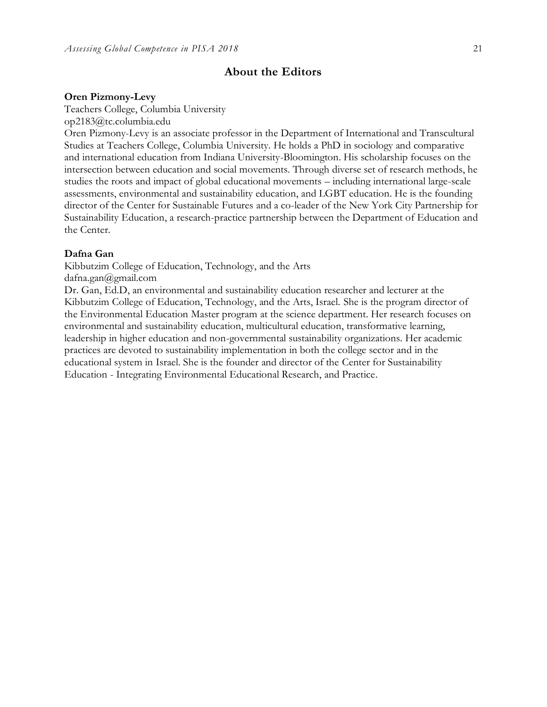# **About the Editors**

#### **Oren Pizmony-Levy**

Teachers College, Columbia University

op2183@tc.columbia.edu

Oren Pizmony-Levy is an associate professor in the Department of International and Transcultural Studies at Teachers College, Columbia University. He holds a PhD in sociology and comparative and international education from Indiana University-Bloomington. His scholarship focuses on the intersection between education and social movements. Through diverse set of research methods, he studies the roots and impact of global educational movements – including international large-scale assessments, environmental and sustainability education, and LGBT education. He is the founding director of the Center for Sustainable Futures and a co-leader of the New York City Partnership for Sustainability Education, a research-practice partnership between the Department of Education and the Center.

### **Dafna Gan**

Kibbutzim College of Education, Technology, and the Arts dafna.gan@gmail.com

Dr. Gan, Ed.D, an environmental and sustainability education researcher and lecturer at the Kibbutzim College of Education, Technology, and the Arts, Israel. She is the program director of the Environmental Education Master program at the science department. Her research focuses on environmental and sustainability education, multicultural education, transformative learning, leadership in higher education and non-governmental sustainability organizations. Her academic practices are devoted to sustainability implementation in both the college sector and in the educational system in Israel. She is the founder and director of the Center for Sustainability Education - Integrating Environmental Educational Research, and Practice.